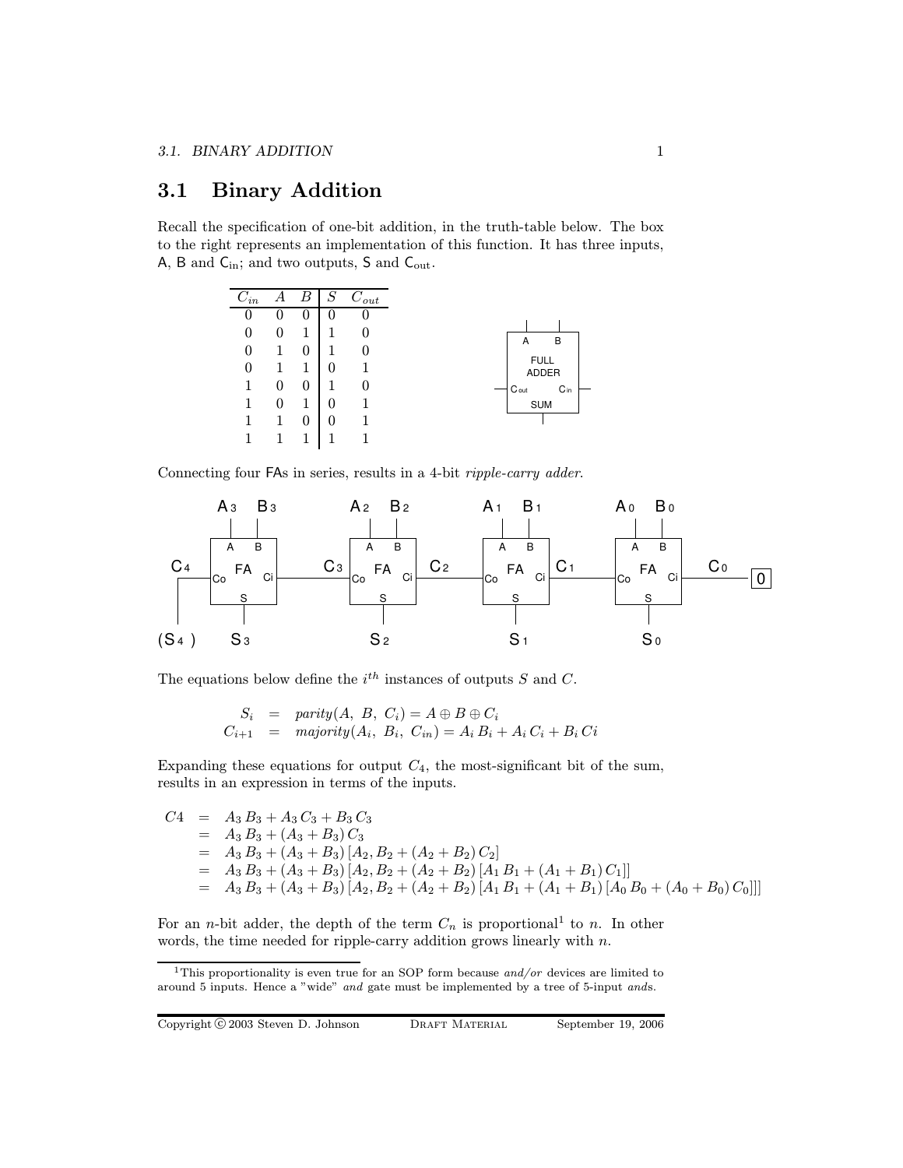# 3.1 Binary Addition

Recall the specification of one-bit addition, in the truth-table below. The box to the right represents an implementation of this function. It has three inputs,  $\mathsf{A},\, \mathsf{B}$  and  $\mathsf{C}_\mathrm{in};$  and two outputs,  $\mathsf{S}$  and  $\mathsf{C}_\mathrm{out}.$ 

| $C_{in}$     | А            | B | $\cal S$ | $\overline{C}_{out}$ |
|--------------|--------------|---|----------|----------------------|
| 0            | $\mathbf{0}$ | 0 | 0        |                      |
| $\theta$     | 0            |   |          |                      |
| $\mathbf{0}$ |              |   |          |                      |
| $\theta$     |              |   |          |                      |
|              | 0            | 0 |          |                      |
|              |              |   |          |                      |
|              |              | 0 |          |                      |
|              |              |   |          |                      |

Connecting four FAs in series, results in a 4-bit ripple-carry adder.



The equations below define the  $i^{th}$  instances of outputs S and C.

$$
S_i = parity(A, B, C_i) = A \oplus B \oplus C_i
$$
  
\n
$$
C_{i+1} = majority(A_i, B_i, C_{in}) = A_i B_i + A_i C_i + B_i C_i
$$

Expanding these equations for output  $C_4$ , the most-significant bit of the sum, results in an expression in terms of the inputs.

$$
C4 = A_3 B_3 + A_3 C_3 + B_3 C_3
$$
  
= A\_3 B\_3 + (A\_3 + B\_3) C\_3  
= A\_3 B\_3 + (A\_3 + B\_3) [A\_2, B\_2 + (A\_2 + B\_2) C\_2]  
= A\_3 B\_3 + (A\_3 + B\_3) [A\_2, B\_2 + (A\_2 + B\_2) [A\_1 B\_1 + (A\_1 + B\_1) C\_1]]  
= A\_3 B\_3 + (A\_3 + B\_3) [A\_2, B\_2 + (A\_2 + B\_2) [A\_1 B\_1 + (A\_1 + B\_1) [A\_0 B\_0 + (A\_0 + B\_0) C\_0]]]

For an *n*-bit adder, the depth of the term  $C_n$  is proportional<sup>1</sup> to *n*. In other words, the time needed for ripple-carry addition grows linearly with n.

<sup>&</sup>lt;sup>1</sup>This proportionality is even true for an SOP form because  $and/or$  devices are limited to around 5 inputs. Hence a "wide" and gate must be implemented by a tree of 5-input ands.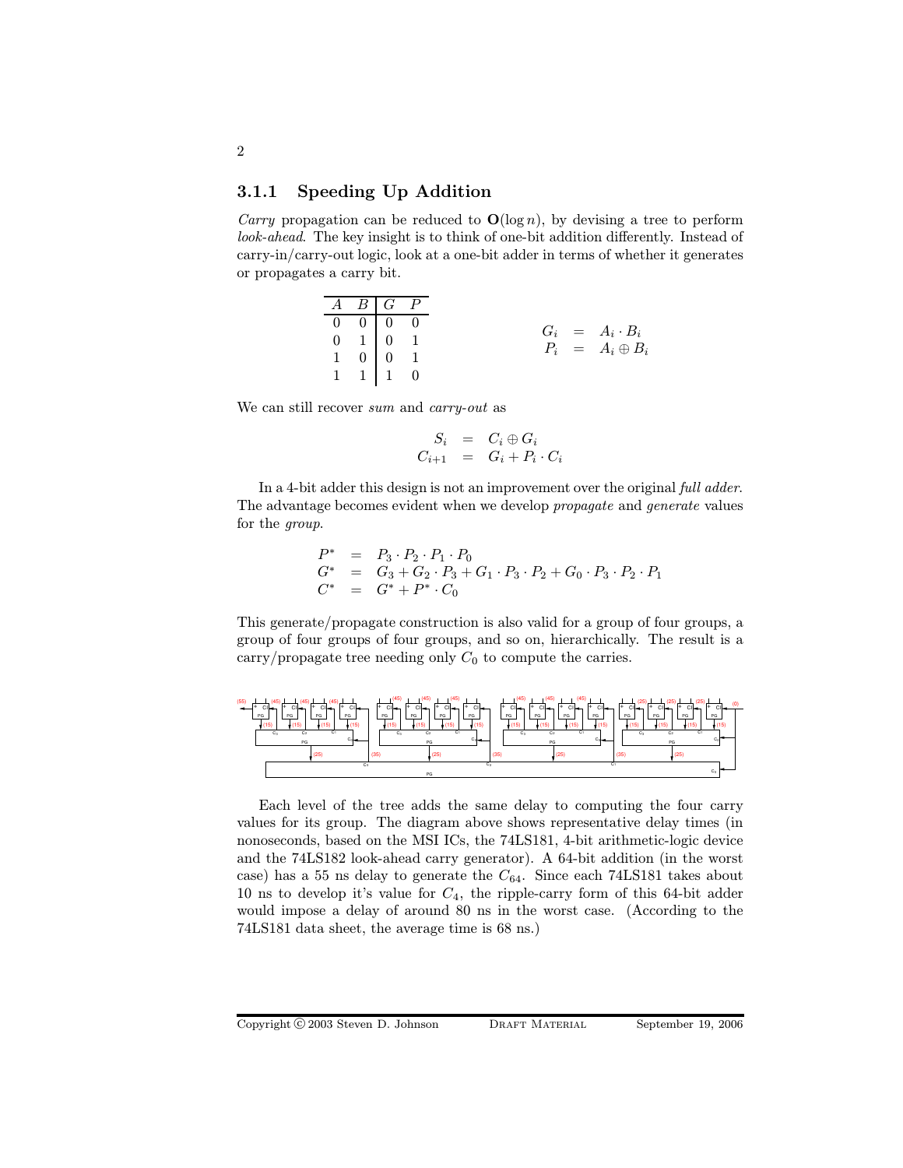# 3.1.1 Speeding Up Addition

*Carry* propagation can be reduced to  $O(\log n)$ , by devising a tree to perform look-ahead. The key insight is to think of one-bit addition differently. Instead of carry-in/carry-out logic, look at a one-bit adder in terms of whether it generates or propagates a carry bit.

|  | $A \quad B \quad \overline{G \quad P}$                              |  |
|--|---------------------------------------------------------------------|--|
|  |                                                                     |  |
|  | $\begin{array}{cccc} 0 & 0 & 0 & 0 \end{array}$                     |  |
|  |                                                                     |  |
|  | $\begin{array}{ccc ccc} 0 & 1 & 0 & 1 \\ 1 & 0 & 0 & 1 \end{array}$ |  |
|  |                                                                     |  |
|  | $1 \quad 1 \quad 1 \quad 0$                                         |  |

We can still recover sum and carry-out as

$$
S_i = C_i \oplus G_i
$$
  

$$
C_{i+1} = G_i + P_i \cdot C_i
$$

In a 4-bit adder this design is not an improvement over the original full adder. The advantage becomes evident when we develop propagate and generate values for the group.

$$
P^* = P_3 \cdot P_2 \cdot P_1 \cdot P_0
$$
  
\n
$$
G^* = G_3 + G_2 \cdot P_3 + G_1 \cdot P_3 \cdot P_2 + G_0 \cdot P_3 \cdot P_2 \cdot P_1
$$
  
\n
$$
C^* = G^* + P^* \cdot C_0
$$

This generate/propagate construction is also valid for a group of four groups, a group of four groups of four groups, and so on, hierarchically. The result is a carry/propagate tree needing only  $C_0$  to compute the carries.



Each level of the tree adds the same delay to computing the four carry values for its group. The diagram above shows representative delay times (in nonoseconds, based on the MSI ICs, the 74LS181, 4-bit arithmetic-logic device and the 74LS182 look-ahead carry generator). A 64-bit addition (in the worst case) has a 55 ns delay to generate the  $C_{64}$ . Since each 74LS181 takes about 10 ns to develop it's value for  $C_4$ , the ripple-carry form of this 64-bit adder would impose a delay of around 80 ns in the worst case. (According to the 74LS181 data sheet, the average time is 68 ns.)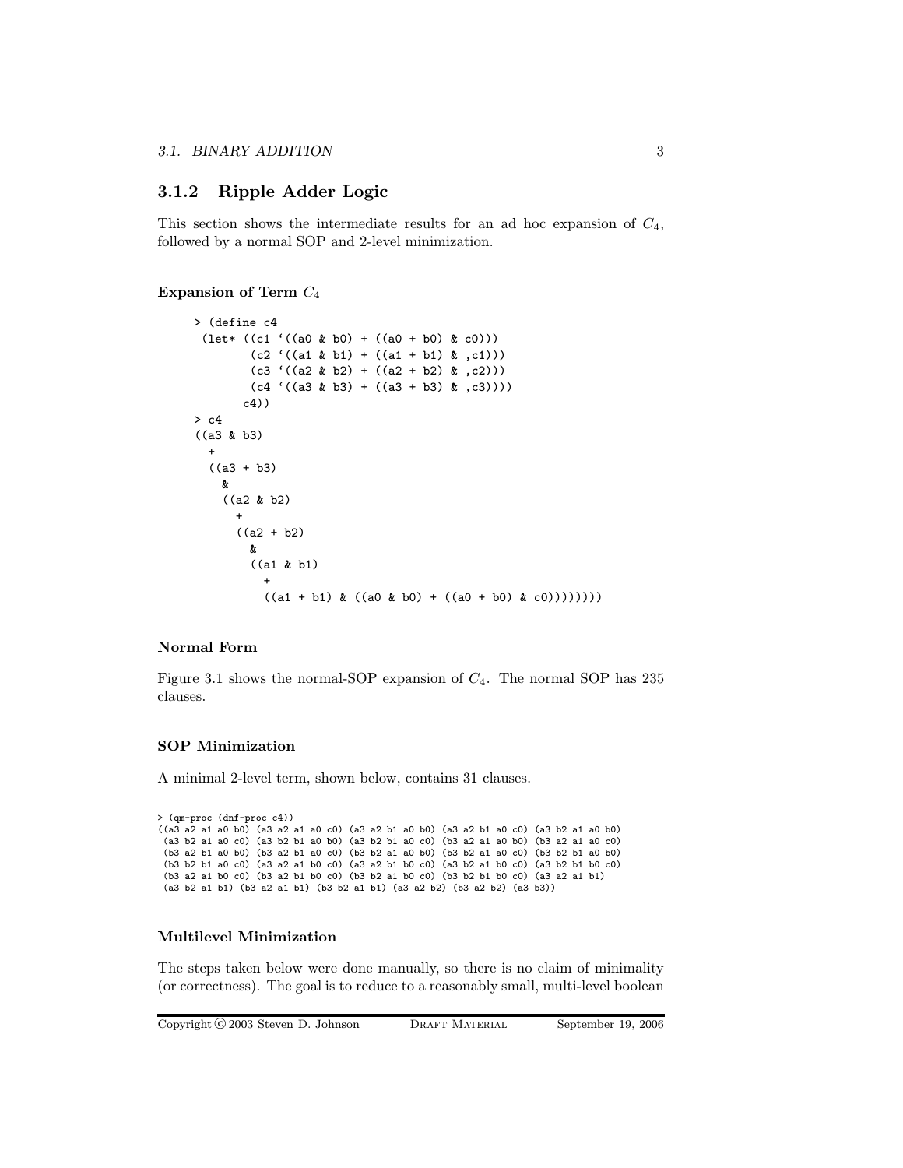# 3.1.2 Ripple Adder Logic

This section shows the intermediate results for an ad hoc expansion of  $C_4$ , followed by a normal SOP and 2-level minimization.

Expansion of Term  $C_4$ 

```
> (define c4
 (\text{let* } ((c1 '( (a0 & b0) + ((a0 + b0) & c0))))(c2 ((a1 & b1) + ((a1 + b1) & c1)))(c3 ((a2 & b2) + ((a2 + b2) & c2)))(c4 ((a3 & b3) + ((a3 + b3) & c3))))c4))
> c4
((a3 & b3)
  +
  ((a3 + b3))&
    ((a2 & b2)
      +
      ((a2 + b2))&
        ((a1 & b1)
          +
          ((a1 + b1) & ((a0 & b0) + ((a0 + b0) & c0)))))))
```
### Normal Form

Figure 3.1 shows the normal-SOP expansion of  $C_4$ . The normal SOP has 235 clauses.

#### SOP Minimization

A minimal 2-level term, shown below, contains 31 clauses.

```
> (qm-proc (dnf-proc c4))
((a3 a2 a1 a0 b0) (a3 a2 a1 a0 c0) (a3 a2 b1 a0 b0) (a3 a2 b1 a0 c0) (a3 b2 a1 a0 b0)
 (a3 b2 a1 a0 c0) (a3 b2 b1 a0 b0) (a3 b2 b1 a0 c0) (b3 a2 a1 a0 b0) (b3 a2 a1 a0 c0)
 (b3 a2 b1 a0 b0) (b3 a2 b1 a0 c0) (b3 b2 a1 a0 b0) (b3 b2 a1 a0 c0) (b3 b2 b1 a0 b0)
 (b3 b2 b1 a0 c0) (a3 a2 a1 b0 c0) (a3 a2 b1 b0 c0) (a3 b2 a1 b0 c0) (a3 b2 b1 b0 c0)
(b3 a2 a1 b0 c0) (b3 a2 b1 b0 c0) (b3 b2 a1 b0 c0) (b3 b2 b1 b0 c0) (a3 a2 a1 b1)
 (a3 b2 a1 b1) (b3 a2 a1 b1) (b3 b2 a1 b1) (a3 a2 b2) (b3 a2 b2) (a3 b3))
```
#### Multilevel Minimization

The steps taken below were done manually, so there is no claim of minimality (or correctness). The goal is to reduce to a reasonably small, multi-level boolean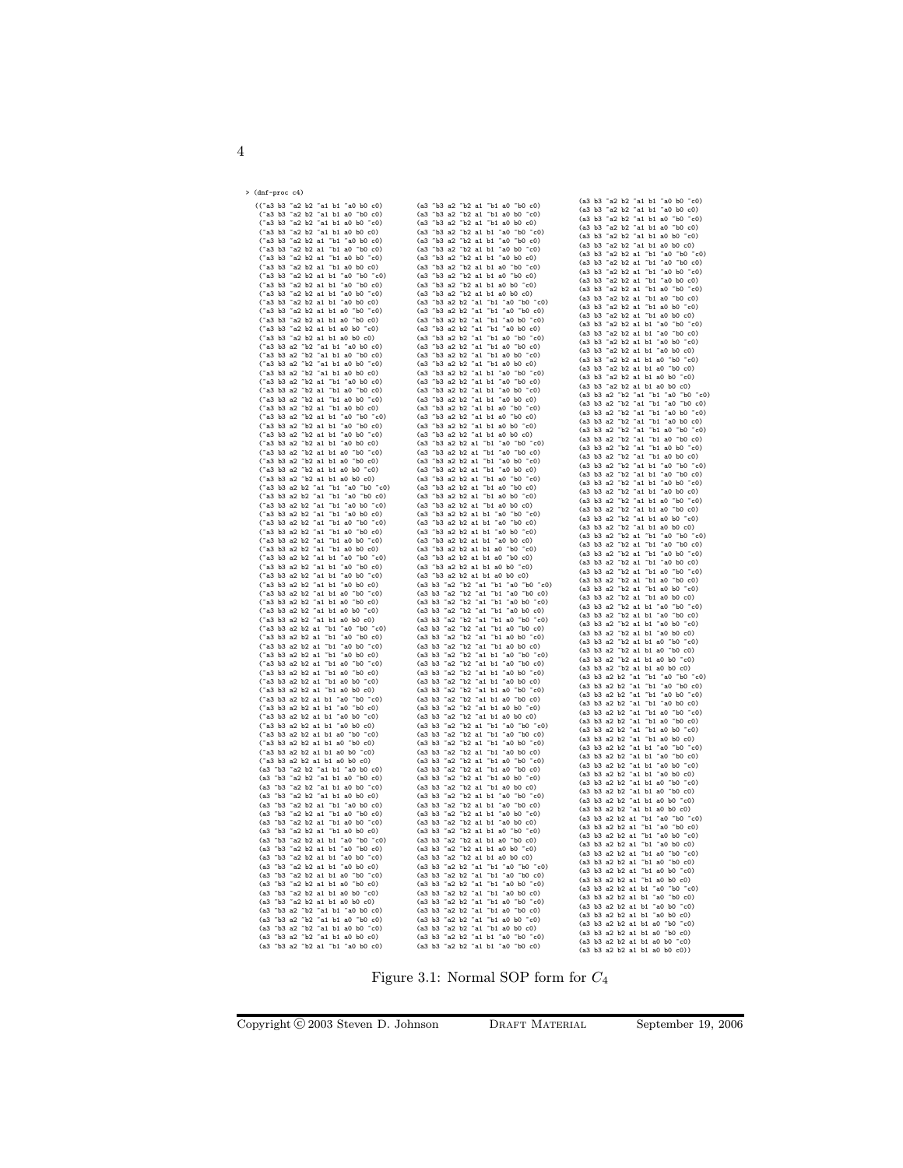| > (dnf-proc c4) |  |
|-----------------|--|
|                 |  |
|                 |  |
|                 |  |
|                 |  |
|                 |  |
|                 |  |
|                 |  |
|                 |  |
|                 |  |
|                 |  |
|                 |  |
|                 |  |
|                 |  |
|                 |  |
|                 |  |
|                 |  |
|                 |  |
|                 |  |
|                 |  |
|                 |  |
|                 |  |
|                 |  |
|                 |  |
|                 |  |
|                 |  |
|                 |  |
|                 |  |
|                 |  |
|                 |  |
|                 |  |
|                 |  |
|                 |  |
|                 |  |
|                 |  |
|                 |  |
|                 |  |
|                 |  |
|                 |  |
|                 |  |
|                 |  |
|                 |  |
|                 |  |
|                 |  |
|                 |  |
|                 |  |
|                 |  |
|                 |  |
|                 |  |
|                 |  |
|                 |  |
|                 |  |
|                 |  |
|                 |  |
|                 |  |
|                 |  |
|                 |  |
|                 |  |
|                 |  |
|                 |  |
|                 |  |
|                 |  |
|                 |  |
|                 |  |
|                 |  |
|                 |  |
|                 |  |
|                 |  |
|                 |  |
|                 |  |

Figure 3.1: Normal SOP form for  $\mathbb{C}_4$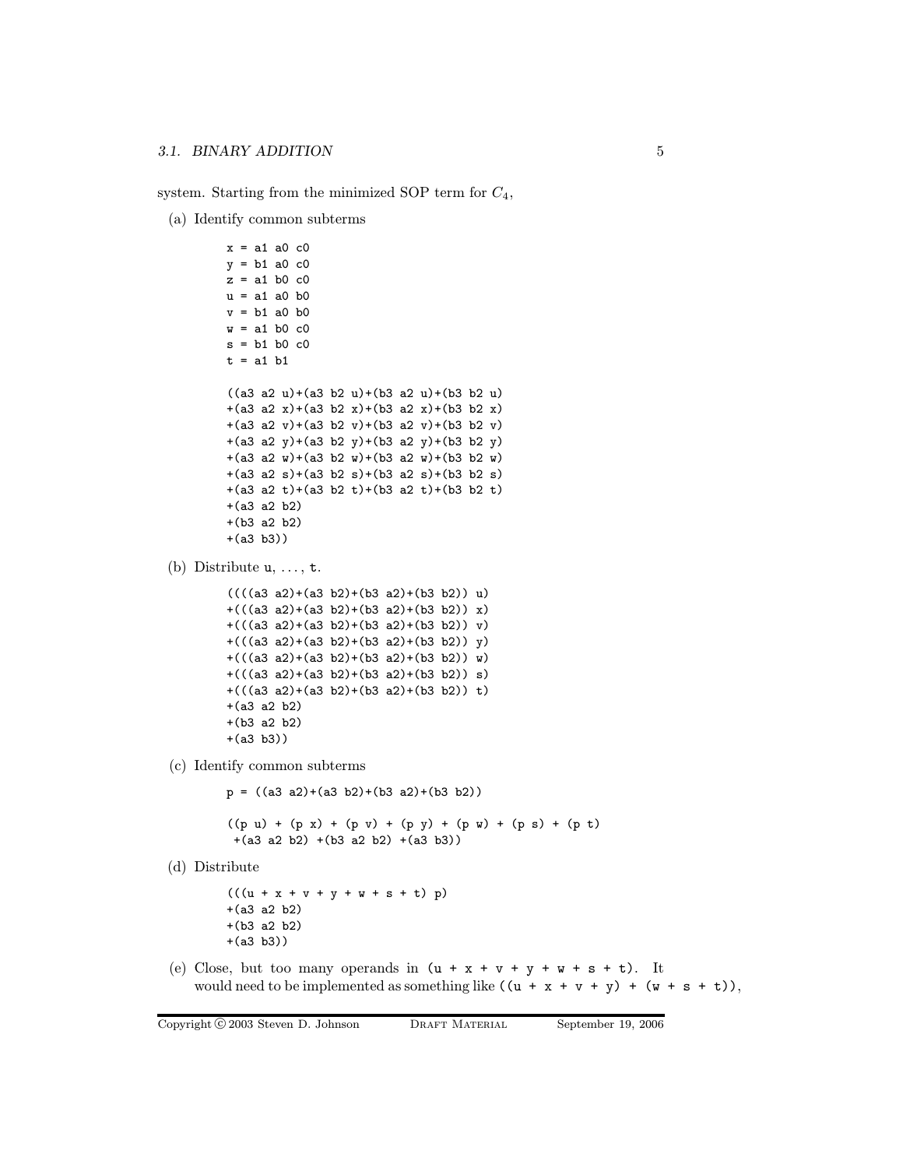system. Starting from the minimized SOP term for  $C_4$ ,

(a) Identify common subterms

```
x = a1 a0 c0
        y = b1 a0 c0
        z = a1 b0 c0u = a1 a0 b0v = b1 a0 b0
        w = a1 b0 c0
        s = b1 b0 c0t = a1 b1((a3 a2 u)+(a3 b2 u)+(b3 a2 u)+(b3 b2 u)+(a3 a2 x)+(a3 b2 x)+(b3 a2 x)+(b3 b2 x)
        +(a3 a2 v)+(a3 b2 v)+(b3 a2 v)+(b3 b2 v)
        +(a3 a2 y)+(a3 b2 y)+(b3 a2 y)+(b3 b2 y)
        +(a3 a2 w)+(a3 b2 w)+(b3 a2 w)+(b3 b2 w)
        +(a3 a2 s)+(a3 b2 s)+(b3 a2 s)+(b3 b2 s)
        +(a3 a2 t)+(a3 b2 t)+(b3 a2 t)+(b3 b2 t)
        +(a3 a2 b2)
        +(b3 a2 b2)
        +(a3 b3))
(b) Distribute u, \ldots, t.
        (((a3 a2)+(a3 b2)+(b3 a2)+(b3 b2)) u)+(((a3 a2)+(a3 b2)+(b3 a2)+(b3 b2)) x)
        +(((a3 a2)+(a3 b2)+(b3 a2)+(b3 b2)) v)
        +(((a3 a2)+(a3 b2)+(b3 a2)+(b3 b2)) y)
        +(((a3 a2)+(a3 b2)+(b3 a2)+(b3 b2)) w)
        +(((a3 a2)+(a3 b2)+(b3 a2)+(b3 b2)) s)
        +(((a3 a2)+(a3 b2)+(b3 a2)+(b3 b2)) t)
        +(a3 a2 b2)
        +(b3 a2 b2)
        +(a3 b3))
(c) Identify common subterms
        p = ((a3 a2)+(a3 b2)+(b3 a2)+(b3 b2))
        ((p u) + (p x) + (p v) + (p y) + (p w) + (p s) + (p t)+(a3 a2 b2) +(b3 a2 b2) +(a3 b3))
(d) Distribute
        (((u + x + v + y + w + s + t) p))+(a3 a2 b2)
        +(b3 a2 b2)
        +(a3 b3))
(e) Close, but too many operands in (u + x + v + y + w + s + t). It
   would need to be implemented as something like ((u + x + v + y) + (w + s + t)),
```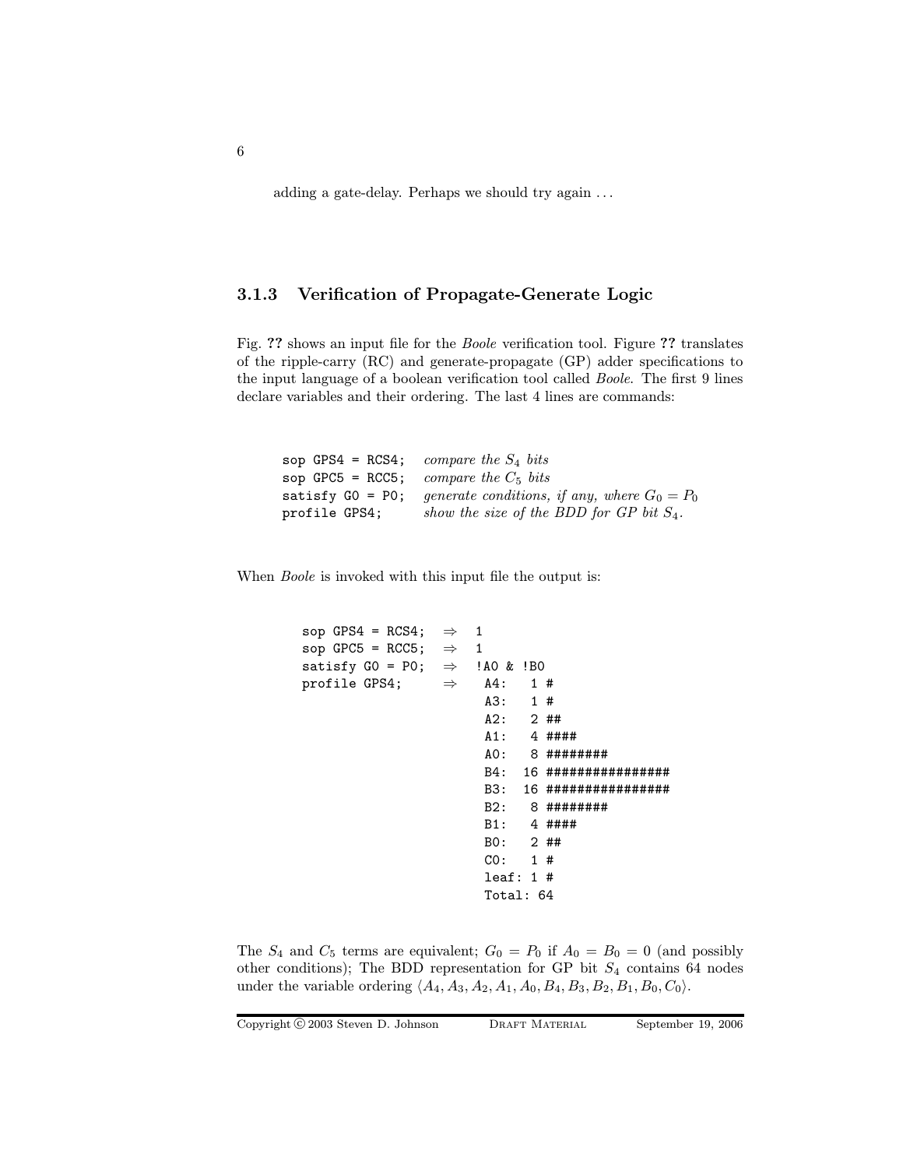adding a gate-delay. Perhaps we should try again . . .

# 3.1.3 Verification of Propagate-Generate Logic

Fig. ?? shows an input file for the Boole verification tool. Figure ?? translates of the ripple-carry (RC) and generate-propagate (GP) adder specifications to the input language of a boolean verification tool called Boole. The first 9 lines declare variables and their ordering. The last 4 lines are commands:

|               | sop GPS4 = RCS4; compare the $S_4$ bits                         |
|---------------|-----------------------------------------------------------------|
|               | sop GPC5 = RCC5; compare the $C_5$ bits                         |
|               | satisfy GO = PO; generate conditions, if any, where $G_0 = P_0$ |
| profile GPS4; | show the size of the BDD for GP bit $S_4$ .                     |

When *Boole* is invoked with this input file the output is:

```
sop GPS4 = RCS4; \Rightarrow 1
sop GPC5 = RCC5; \Rightarrow 1
satisfy GO = PO; \Rightarrow !AO & !BO
profile GPS4; \Rightarrow A4: 1#
                        A3: 1 #
                        A2: 2 ##
                        A1: 4 ####
                        A0: 8 ########
                        B4: 16 ################
                        B3: 16 ################
                        B2: 8 ########
                        B1: 4 ####
                        B0: 2 ##
                        C0: 1 #
                        leaf: 1 #
                        Total: 64
```
The  $S_4$  and  $C_5$  terms are equivalent;  $G_0 = P_0$  if  $A_0 = B_0 = 0$  (and possibly other conditions); The BDD representation for GP bit  $S_4$  contains 64 nodes under the variable ordering  $\langle A_4, A_3, A_2, A_1, A_0, B_4, B_3, B_2, B_1, B_0, C_0 \rangle$ .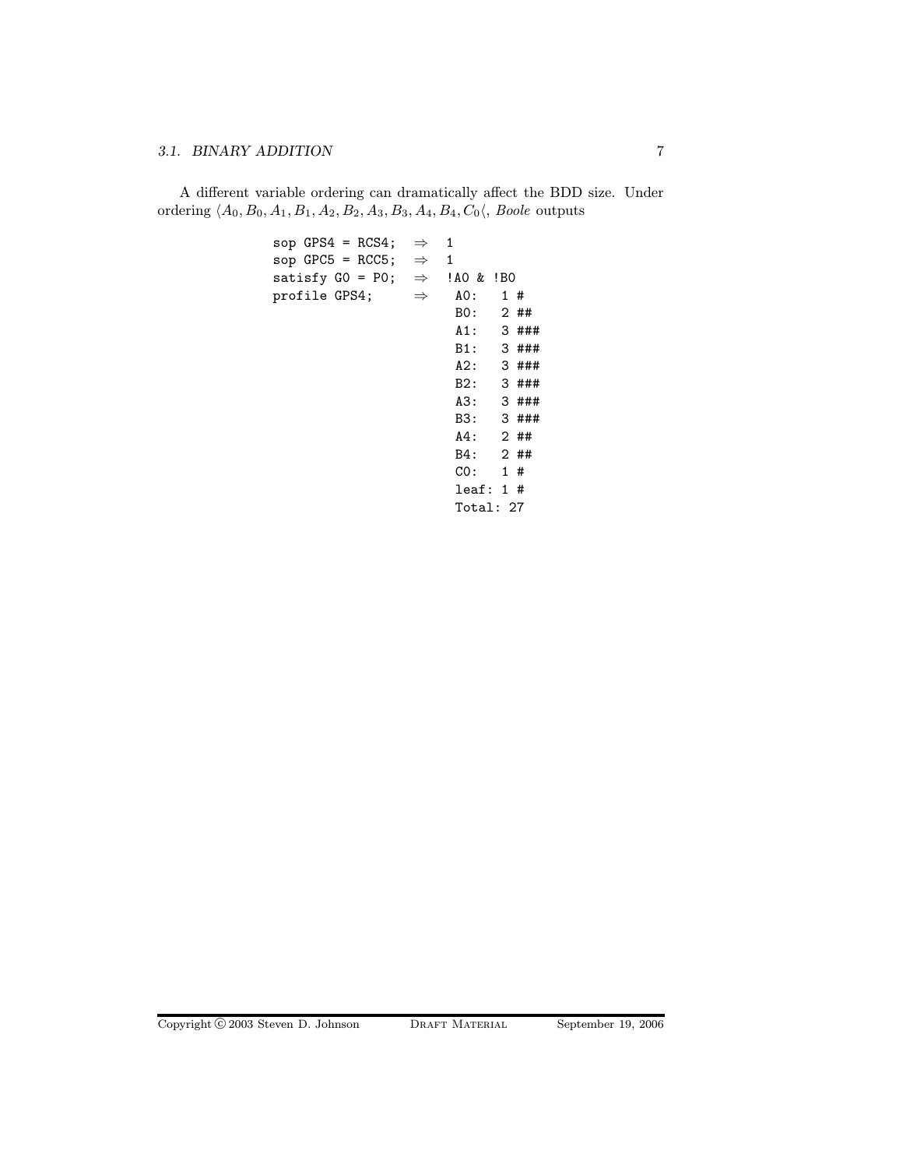# 3.1. BINARY ADDITION 7

A different variable ordering can dramatically affect the BDD size. Under ordering  $\langle A_0, B_0, A_1, B_1, A_2, B_2, A_3, B_3, A_4, B_4, C_0 \langle$ , Boole outputs

```
sop GPS4 = RCS4; \Rightarrow 1
sop GPC5 = RCC5; \Rightarrow 1
satisfy GO = PO; \Rightarrow !AO & !BO
profile GPS4; \Rightarrow A0: 1#
                        B0: 2 ##
                        A1: 3 ###
                        B1: 3 ###
                        A2: 3 ###
                        B2: 3 ###
                        A3: 3 ###
                        B3: 3 ###
                        A4: 2 ##
                        B4: 2 ##
                        C0: 1 #
                        leaf: 1 #
                        Total: 27
```